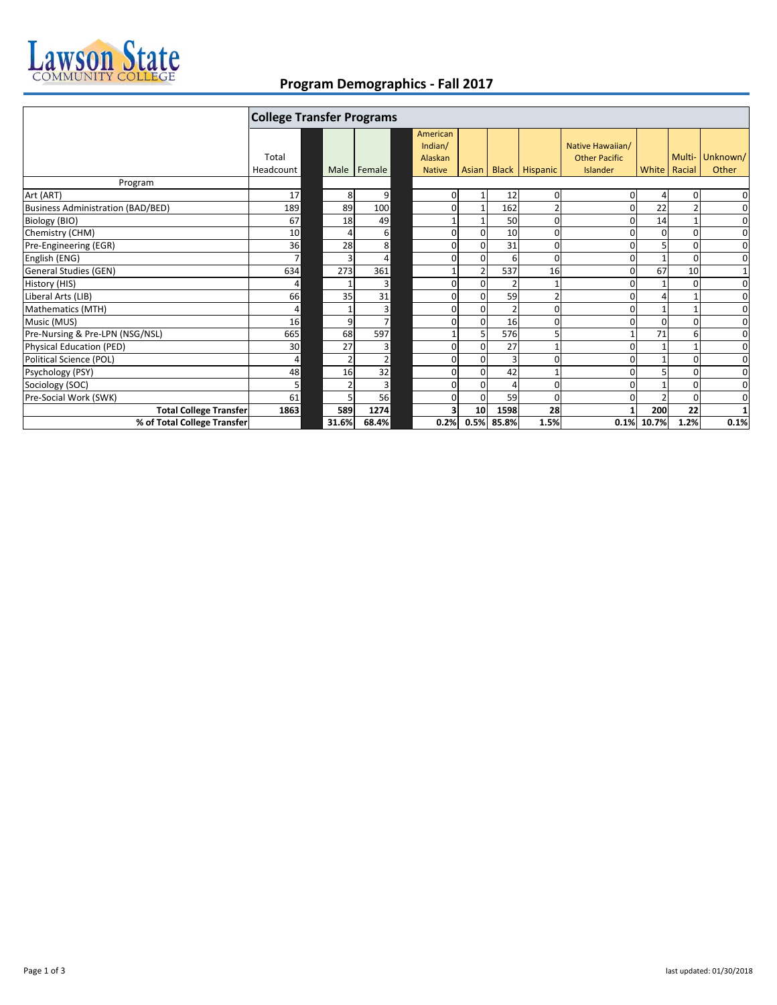

## **Program Demographics ‐ Fall 2017**

|                                          | <b>College Transfer Programs</b> |       |                |  |                          |                 |                |                      |                                  |                |          |             |
|------------------------------------------|----------------------------------|-------|----------------|--|--------------------------|-----------------|----------------|----------------------|----------------------------------|----------------|----------|-------------|
|                                          | Total                            |       |                |  | American<br>Indian/      |                 |                |                      | Native Hawaiian/                 |                | Multi-   | Unknown/    |
|                                          | Headcount                        | Male  | Female         |  | Alaskan<br><b>Native</b> |                 |                | Asian Black Hispanic | <b>Other Pacific</b><br>Islander | White   Racial |          | Other       |
| Program                                  |                                  |       |                |  |                          |                 |                |                      |                                  |                |          |             |
| Art (ART)                                | 17                               | 8     | 9              |  | 0                        |                 | 12             | 0                    | 0                                | 4              | 0        | 0           |
| <b>Business Administration (BAD/BED)</b> | 189                              | 89    | 100            |  | 0                        |                 | 162            |                      |                                  | 22             |          | $\mathbf 0$ |
| Biology (BIO)                            | 67                               | 18    | 49             |  |                          |                 | 50             | 0                    |                                  | 14             |          | $\mathbf 0$ |
| Chemistry (CHM)                          | 10                               |       | 6              |  | $\Omega$                 | $\Omega$        | 10             | ŋ                    |                                  | ŋ              | O        | 0           |
| Pre-Engineering (EGR)                    | 36                               | 28    | 8              |  | 0                        | $\Omega$        | 31             | 0                    |                                  |                | $\Omega$ | 0           |
| English (ENG)                            | $\overline{z}$                   |       | 4              |  | O                        | $\Omega$        | 6              | ŋ                    |                                  |                | $\Omega$ | $\mathbf 0$ |
| General Studies (GEN)                    | 634                              | 273   | 361            |  |                          |                 | 537            | 16                   |                                  | 67             | 10       | $1\,$       |
| History (HIS)                            | 4                                |       | 3              |  | 0                        | $\Omega$        | $\overline{2}$ |                      |                                  |                | O        | 0           |
| Liberal Arts (LIB)                       | 66                               | 35    | 31             |  | $\mathbf{0}$             | $\Omega$        | 59             | 2                    |                                  |                |          | $\mathbf 0$ |
| Mathematics (MTH)                        | 4                                |       | 3              |  | $\mathbf{0}$             | $\Omega$        | $\overline{2}$ | 0                    |                                  |                |          | $\mathbf 0$ |
| Music (MUS)                              | 16                               | 9     |                |  |                          | $\Omega$        | 16             | ŋ                    |                                  |                |          | $\mathbf 0$ |
| Pre-Nursing & Pre-LPN (NSG/NSL)          | 665                              | 68    | 597            |  |                          |                 | 576            | 5                    |                                  | 71             |          | 0           |
| Physical Education (PED)                 | 30                               | 27    | 3              |  | $\Omega$                 | $\Omega$        | 27             |                      |                                  |                |          | $\mathbf 0$ |
| Political Science (POL)                  | 4                                |       | $\overline{2}$ |  | 0                        | $\Omega$        | 3              | 0                    |                                  |                | $\Omega$ | 0           |
| Psychology (PSY)                         | 48                               | 16    | 32             |  | $\Omega$                 | $\Omega$        | 42             |                      |                                  |                |          | $\mathbf 0$ |
| Sociology (SOC)                          | 5                                |       | 3              |  | 0                        | $\Omega$        | 4              | 0                    |                                  |                |          | 0           |
| Pre-Social Work (SWK)                    | 61                               |       | 56             |  | 0                        | $\Omega$        | 59             | 0                    |                                  |                | $\Omega$ | $\mathbf 0$ |
| <b>Total College Transfer</b>            | 1863                             | 589   | 1274           |  | 3                        | 10 <sup>1</sup> | 1598           | 28                   |                                  | 200            | 22       |             |
| % of Total College Transfer              |                                  | 31.6% | 68.4%          |  | 0.2%                     | 0.5%            | 85.8%          | 1.5%                 | 0.1%                             | 10.7%          | 1.2%     | 0.1%        |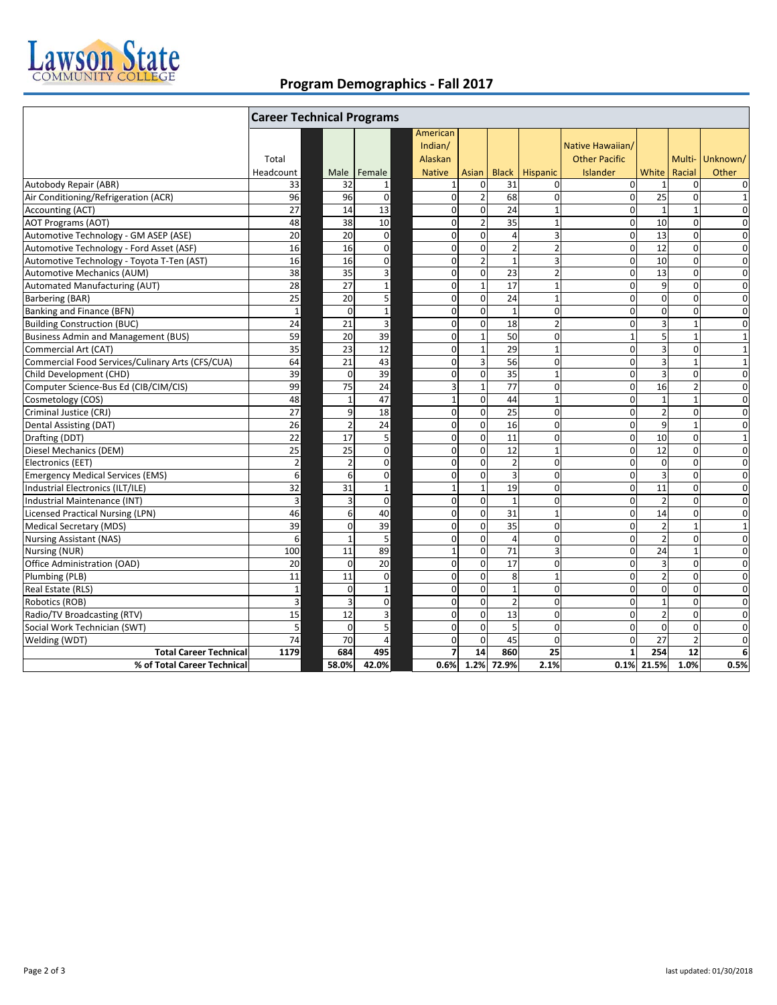

## **Program Demographics ‐ Fall 2017**

|                                                  | <b>Career Technical Programs</b> |       |                |                 |                                                 |                |                |                 |                                                             |                 |                  |                   |
|--------------------------------------------------|----------------------------------|-------|----------------|-----------------|-------------------------------------------------|----------------|----------------|-----------------|-------------------------------------------------------------|-----------------|------------------|-------------------|
|                                                  | Total<br>Headcount               | Male  |                | Female          | American<br>Indian/<br>Alaskan<br><b>Native</b> | Asian          | <b>Black</b>   | <b>Hispanic</b> | Native Hawaiian/<br><b>Other Pacific</b><br><b>Islander</b> | White           | Multi-<br>Racial | Unknown/<br>Other |
| Autobody Repair (ABR)                            | 33                               |       | 32             | 1               | $\mathbf{1}$                                    | $\mathbf 0$    | 31             | $\mathbf 0$     | $\mathbf 0$                                                 |                 | $\mathbf 0$      | 0                 |
| Air Conditioning/Refrigeration (ACR)             | 96                               |       | 96             | $\mathbf 0$     | $\pmb{0}$                                       | $\overline{2}$ | 68             | $\pmb{0}$       | $\mathbf 0$                                                 | 25              | $\mathbf 0$      | $\mathbf{1}$      |
| Accounting (ACT)                                 | 27                               |       | 14             | 13              | $\mathbf 0$                                     | $\mathbf 0$    | 24             | $\mathbf{1}$    | $\Omega$                                                    |                 | $\mathbf{1}$     | $\mathbf 0$       |
| <b>AOT Programs (AOT)</b>                        | 48                               |       | 38             | 10              | 0                                               | $\overline{2}$ | 35             | $\mathbf{1}$    | $\mathbf 0$                                                 | 10              | $\mathbf 0$      | $\mathbf 0$       |
| Automotive Technology - GM ASEP (ASE)            | 20                               |       | 20             | $\mathbf 0$     | $\mathbf 0$                                     | $\mathbf 0$    | $\overline{4}$ | $\overline{3}$  | $\mathbf 0$                                                 | 13              | $\pmb{0}$        | $\mathbf 0$       |
| Automotive Technology - Ford Asset (ASF)         | 16                               |       | 16             | $\mathbf 0$     | $\mathbf 0$                                     | $\mathbf 0$    | $\overline{2}$ | $\overline{2}$  | $\mathbf 0$                                                 | $\overline{12}$ | $\mathbf 0$      | $\mathbf 0$       |
| Automotive Technology - Toyota T-Ten (AST)       | 16                               |       | 16             | $\pmb{0}$       | 0                                               | $\overline{2}$ | $\mathbf{1}$   | 3               | $\mathbf 0$                                                 | 10              | $\mathbf 0$      | 0                 |
| Automotive Mechanics (AUM)                       | 38                               |       | 35             | 3               | $\mathbf 0$                                     | $\mathbf 0$    | 23             | $\overline{2}$  | $\mathbf 0$                                                 | 13              | $\mathbf 0$      | $\mathbf 0$       |
| Automated Manufacturing (AUT)                    | 28                               |       | 27             | $\mathbf 1$     | $\mathbf 0$                                     | $\mathbf{1}$   | 17             | $\mathbf{1}$    | $\mathbf 0$                                                 | 9               | $\mathbf 0$      | $\mathbf 0$       |
| Barbering (BAR)                                  | 25                               |       | 20             | 5               | 0                                               | $\mathbf 0$    | 24             | $\mathbf{1}$    | $\mathbf 0$                                                 | $\mathbf 0$     | $\mathbf 0$      | 0                 |
| Banking and Finance (BFN)                        | $\mathbf{1}$                     |       | $\Omega$       | $\mathbf 1$     | $\mathbf 0$                                     | $\mathbf 0$    | $\mathbf{1}$   | $\mathbf 0$     | $\mathbf 0$                                                 | $\mathbf{0}$    | $\mathbf 0$      | $\mathbf 0$       |
| <b>Building Construction (BUC)</b>               | 24                               |       | 21             | 3               | 0                                               | $\mathbf{0}$   | 18             | $\overline{2}$  | $\mathbf 0$                                                 | $\overline{3}$  | $\mathbf{1}$     | $\mathbf 0$       |
| <b>Business Admin and Management (BUS)</b>       | 59                               |       | 20             | 39              | $\mathbf 0$                                     | $\mathbf{1}$   | 50             | $\mathbf 0$     | $\mathbf{1}$                                                | 5               | $\mathbf{1}$     | $\mathbf{1}$      |
| Commercial Art (CAT)                             | 35                               |       | 23             | 12              | $\mathbf 0$                                     | $\mathbf 1$    | 29             | $\mathbf{1}$    | $\mathbf 0$                                                 | 3               | $\mathbf 0$      | $\mathbf{1}$      |
| Commercial Food Services/Culinary Arts (CFS/CUA) | 64                               |       | 21             | 43              | 0                                               | 3              | 56             | $\mathbf 0$     | $\mathbf 0$                                                 | $\overline{3}$  | $\mathbf{1}$     | $\mathbf{1}$      |
| Child Development (CHD)                          | 39                               |       | $\Omega$       | 39              | $\mathbf 0$                                     | $\mathbf 0$    | 35             | $\mathbf{1}$    | $\mathbf 0$                                                 | 3               | $\boldsymbol{0}$ | $\mathbf 0$       |
| Computer Science-Bus Ed (CIB/CIM/CIS)            | 99                               |       | 75             | 24              | 3                                               | $\mathbf 1$    | 77             | $\mathbf 0$     | $\mathbf 0$                                                 | 16              | $\overline{2}$   | $\mathbf 0$       |
| Cosmetology (COS)                                | 48                               |       | 1              | 47              | $\mathbf{1}$                                    | $\mathbf 0$    | 44             | $\mathbf{1}$    | $\mathbf 0$                                                 | $\mathbf{1}$    | $\mathbf{1}$     | 0                 |
| Criminal Justice (CRJ)                           | 27                               |       | 9              | 18              | $\mathbf 0$                                     | $\mathbf 0$    | 25             | $\mathbf 0$     | $\mathbf 0$                                                 | $\overline{2}$  | $\mathbf 0$      | $\mathbf 0$       |
| <b>Dental Assisting (DAT)</b>                    | 26                               |       | $\overline{2}$ | $\overline{24}$ | $\mathbf 0$                                     | $\mathbf 0$    | 16             | $\mathbf 0$     | $\mathbf 0$                                                 | $\overline{9}$  | $\mathbf{1}$     | $\mathbf 0$       |
| Drafting (DDT)                                   | 22                               |       | 17             | 5               | $\mathbf 0$                                     | $\mathbf 0$    | 11             | $\mathbf 0$     | $\mathbf 0$                                                 | 10              | $\mathbf 0$      | $\mathbf{1}$      |
| Diesel Mechanics (DEM)                           | 25                               |       | 25             | $\mathbf 0$     | $\mathbf 0$                                     | $\mathbf 0$    | 12             | $\mathbf{1}$    | $\Omega$                                                    | 12              | $\mathbf 0$      | $\mathbf 0$       |
| Electronics (EET)                                | $\overline{2}$                   |       | $\overline{2}$ | $\mathbf 0$     | $\mathbf 0$                                     | $\mathbf 0$    | $\overline{2}$ | $\mathbf 0$     | $\mathbf 0$                                                 | $\mathbf 0$     | $\mathbf 0$      | $\mathbf 0$       |
| <b>Emergency Medical Services (EMS)</b>          | 6                                |       | 6              | $\mathbf 0$     | $\mathbf 0$                                     | $\mathbf 0$    | $\overline{3}$ | $\mathbf 0$     | $\Omega$                                                    | 3               | $\mathbf 0$      | $\mathbf 0$       |
| Industrial Electronics (ILT/ILE)                 | 32                               |       | 31             | $\mathbf{1}$    | $\mathbf{1}$                                    | $\mathbf{1}$   | 19             | $\mathbf 0$     | $\Omega$                                                    | 11              | $\Omega$         | $\mathbf 0$       |
| Industrial Maintenance (INT)                     | $\overline{3}$                   |       |                | $\mathbf 0$     | $\mathbf 0$                                     | $\mathbf 0$    | $\mathbf{1}$   | $\mathbf 0$     | $\Omega$                                                    | $\overline{2}$  | $\Omega$         | $\mathbf 0$       |
| <b>Licensed Practical Nursing (LPN)</b>          | 46                               |       | 6              | 40              | $\mathbf 0$                                     | $\mathbf 0$    | 31             | $\mathbf{1}$    | $\Omega$                                                    | 14              | $\mathbf 0$      | $\mathbf 0$       |
| <b>Medical Secretary (MDS)</b>                   | 39                               |       | $\Omega$       | 39              | $\mathbf 0$                                     | $\mathbf 0$    | 35             | $\Omega$        | $\Omega$                                                    | $\overline{a}$  | $\mathbf{1}$     | $\mathbf{1}$      |
| <b>Nursing Assistant (NAS)</b>                   | 6                                |       | 1              | 5               | 0                                               | $\mathbf 0$    | $\overline{4}$ | $\mathbf 0$     | $\mathbf 0$                                                 | $\overline{a}$  | $\mathbf 0$      | $\mathbf 0$       |
| Nursing (NUR)                                    | 100                              |       | 11             | 89              | $\mathbf{1}$                                    | $\mathbf 0$    | 71             | $\overline{3}$  | $\Omega$                                                    | 24              | $\mathbf{1}$     | $\mathbf 0$       |
| Office Administration (OAD)                      | 20                               |       | $\Omega$       | 20              | $\mathbf 0$                                     | $\mathbf 0$    | 17             | $\mathbf 0$     | $\Omega$                                                    | 3               | $\Omega$         | $\mathbf 0$       |
| Plumbing (PLB)                                   | 11                               |       | 11             | $\mathbf 0$     | $\mathbf 0$                                     | $\mathbf 0$    | 8              | $\mathbf{1}$    | $\mathbf 0$                                                 | $\overline{2}$  | $\mathbf 0$      | $\mathbf 0$       |
| Real Estate (RLS)                                | $\mathbf 1$                      |       | $\Omega$       | $\mathbf 1$     | $\Omega$                                        | $\Omega$       | $\mathbf{1}$   | $\Omega$        | $\Omega$                                                    | $\Omega$        | $\Omega$         | $\Omega$          |
| Robotics (ROB)                                   | 3                                |       |                | $\mathbf 0$     | $\mathbf 0$                                     | $\mathbf 0$    | $\overline{2}$ | $\mathbf 0$     | $\Omega$                                                    | $\mathbf{1}$    | $\mathbf 0$      | $\mathbf 0$       |
| Radio/TV Broadcasting (RTV)                      | 15                               |       | 12             | 3               | $\mathbf 0$                                     | $\mathbf 0$    | 13             | $\mathbf 0$     | $\mathbf 0$                                                 | $\overline{2}$  | $\mathbf 0$      | $\overline{0}$    |
| Social Work Technician (SWT)                     | 5                                |       | $\Omega$       | 5               | $\Omega$                                        | $\Omega$       | 5              | $\Omega$        | $\Omega$                                                    | $\Omega$        | $\Omega$         | $\mathbf 0$       |
| Welding (WDT)                                    | 74                               |       | 70             | $\overline{4}$  | $\mathbf 0$                                     | $\mathbf{0}$   | 45             | $\mathbf 0$     | $\Omega$                                                    | 27              | $\overline{2}$   | $\mathbf 0$       |
| <b>Total Career Technical</b>                    | 1179                             | 684   |                | 495             | $\overline{z}$                                  | 14             | 860            | $\overline{25}$ |                                                             | 254             | 12               | 6                 |
| % of Total Career Technical                      |                                  | 58.0% |                | 42.0%           | 0.6%                                            | 1.2%           | 72.9%          | 2.1%            | 0.1%                                                        | 21.5%           | 1.0%             | 0.5%              |